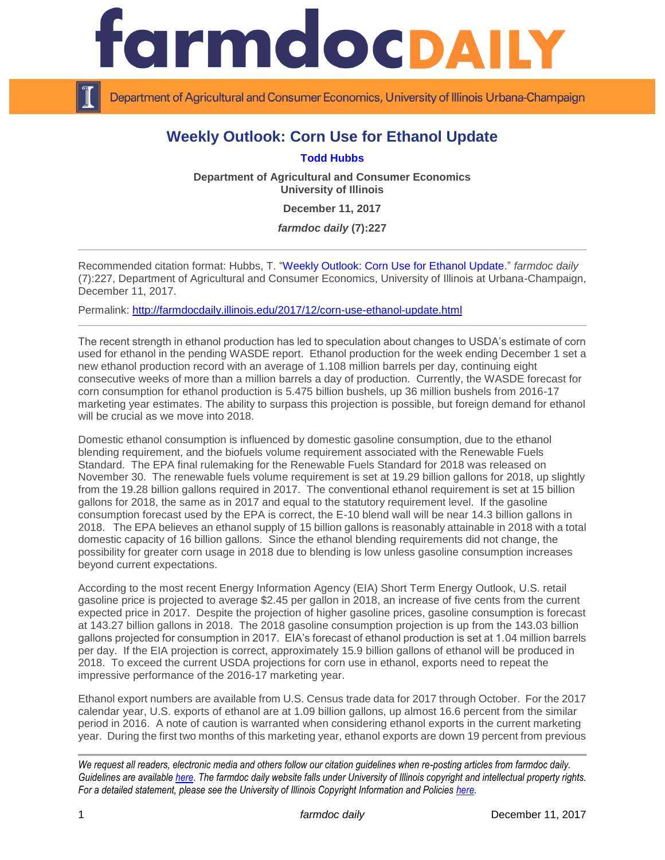

Department of Agricultural and Consumer Economics, University of Illinois Urbana-Champaign

## **Weekly Outlook: Corn Use for Ethanol Update**

**[Todd Hubbs](http://ace.illinois.edu/directory/jhubbs3)**

**Department of Agricultural and Consumer Economics University of Illinois**

**December 11, 2017**

*farmdoc daily* **(7):227**

Recommended citation format: Hubbs, T. ["Weekly Outlook: Corn Use for Ethanol Update.](http://farmdocdaily.illinois.edu/2017/12/corn-use-ethanol-update.html)" *farmdoc daily*  (7):227, Department of Agricultural and Consumer Economics, University of Illinois at Urbana-Champaign, December 11, 2017.

Permalink: <http://farmdocdaily.illinois.edu/2017/12/corn-use-ethanol-update.html>

The recent strength in ethanol production has led to speculation about changes to USDA's estimate of corn used for ethanol in the pending WASDE report. Ethanol production for the week ending December 1 set a new ethanol production record with an average of 1.108 million barrels per day, continuing eight consecutive weeks of more than a million barrels a day of production. Currently, the WASDE forecast for corn consumption for ethanol production is 5.475 billion bushels, up 36 million bushels from 2016-17 marketing year estimates. The ability to surpass this projection is possible, but foreign demand for ethanol will be crucial as we move into 2018.

Domestic ethanol consumption is influenced by domestic gasoline consumption, due to the ethanol blending requirement, and the biofuels volume requirement associated with the Renewable Fuels Standard. The EPA final rulemaking for the Renewable Fuels Standard for 2018 was released on November 30. The renewable fuels volume requirement is set at 19.29 billion gallons for 2018, up slightly from the 19.28 billion gallons required in 2017. The conventional ethanol requirement is set at 15 billion gallons for 2018, the same as in 2017 and equal to the statutory requirement level. If the gasoline consumption forecast used by the EPA is correct, the E-10 blend wall will be near 14.3 billion gallons in 2018. The EPA believes an ethanol supply of 15 billion gallons is reasonably attainable in 2018 with a total domestic capacity of 16 billion gallons. Since the ethanol blending requirements did not change, the possibility for greater corn usage in 2018 due to blending is low unless gasoline consumption increases beyond current expectations.

According to the most recent Energy Information Agency (EIA) Short Term Energy Outlook, U.S. retail gasoline price is projected to average \$2.45 per gallon in 2018, an increase of five cents from the current expected price in 2017. Despite the projection of higher gasoline prices, gasoline consumption is forecast at 143.27 billion gallons in 2018. The 2018 gasoline consumption projection is up from the 143.03 billion gallons projected for consumption in 2017. EIA's forecast of ethanol production is set at 1.04 million barrels per day. If the EIA projection is correct, approximately 15.9 billion gallons of ethanol will be produced in 2018. To exceed the current USDA projections for corn use in ethanol, exports need to repeat the impressive performance of the 2016-17 marketing year.

Ethanol export numbers are available from U.S. Census trade data for 2017 through October. For the 2017 calendar year, U.S. exports of ethanol are at 1.09 billion gallons, up almost 16.6 percent from the similar period in 2016. A note of caution is warranted when considering ethanol exports in the current marketing year. During the first two months of this marketing year, ethanol exports are down 19 percent from previous

*We request all readers, electronic media and others follow our citation guidelines when re-posting articles from farmdoc daily. Guidelines are available [here.](http://farmdocdaily.illinois.edu/citationguide.html) The farmdoc daily website falls under University of Illinois copyright and intellectual property rights. For a detailed statement, please see the University of Illinois Copyright Information and Policies [here.](http://www.cio.illinois.edu/policies/copyright/)*